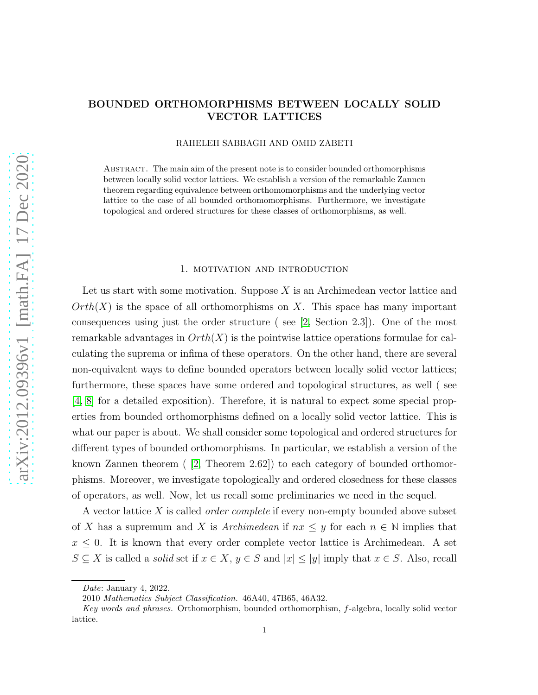# arXiv:2012.09396v1 [math.FA] 17 Dec 2020 [arXiv:2012.09396v1 \[math.FA\] 17 Dec 2020](http://arxiv.org/abs/2012.09396v1)

# BOUNDED ORTHOMORPHISMS BETWEEN LOCALLY SOLID VECTOR LATTICES

RAHELEH SABBAGH AND OMID ZABETI

Abstract. The main aim of the present note is to consider bounded orthomorphisms between locally solid vector lattices. We establish a version of the remarkable Zannen theorem regarding equivalence between orthomomorphisms and the underlying vector lattice to the case of all bounded orthomomorphisms. Furthermore, we investigate topological and ordered structures for these classes of orthomorphisms, as well.

### 1. motivation and introduction

Let us start with some motivation. Suppose  $X$  is an Archimedean vector lattice and  $Orth(X)$  is the space of all orthomorphisms on X. This space has many important consequences using just the order structure ( see [\[2,](#page-7-0) Section 2.3]). One of the most remarkable advantages in  $Orth(X)$  is the pointwise lattice operations formulae for calculating the suprema or infima of these operators. On the other hand, there are several non-equivalent ways to define bounded operators between locally solid vector lattices; furthermore, these spaces have some ordered and topological structures, as well ( see [\[4,](#page-8-0) [8\]](#page-8-1) for a detailed exposition). Therefore, it is natural to expect some special properties from bounded orthomorphisms defined on a locally solid vector lattice. This is what our paper is about. We shall consider some topological and ordered structures for different types of bounded orthomorphisms. In particular, we establish a version of the known Zannen theorem ( [\[2,](#page-7-0) Theorem 2.62]) to each category of bounded orthomorphisms. Moreover, we investigate topologically and ordered closedness for these classes of operators, as well. Now, let us recall some preliminaries we need in the sequel.

A vector lattice  $X$  is called *order complete* if every non-empty bounded above subset of X has a supremum and X is Archimedean if  $nx \leq y$  for each  $n \in \mathbb{N}$  implies that  $x \leq 0$ . It is known that every order complete vector lattice is Archimedean. A set  $S \subseteq X$  is called a *solid* set if  $x \in X$ ,  $y \in S$  and  $|x| \le |y|$  imply that  $x \in S$ . Also, recall

Date: January 4, 2022.

<sup>2010</sup> Mathematics Subject Classification. 46A40, 47B65, 46A32.

Key words and phrases. Orthomorphism, bounded orthomorphism, f-algebra, locally solid vector lattice.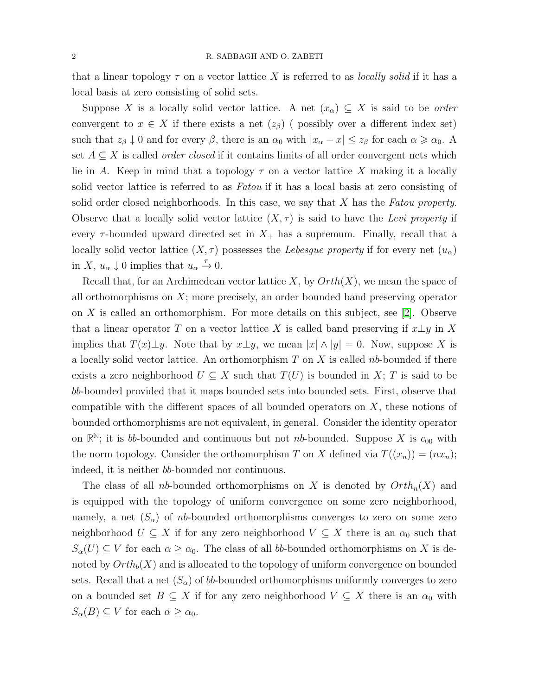that a linear topology  $\tau$  on a vector lattice X is referred to as *locally solid* if it has a local basis at zero consisting of solid sets.

Suppose X is a locally solid vector lattice. A net  $(x_\alpha) \subseteq X$  is said to be *order* convergent to  $x \in X$  if there exists a net  $(z_\beta)$  ( possibly over a different index set) such that  $z_{\beta} \downarrow 0$  and for every  $\beta$ , there is an  $\alpha_0$  with  $|x_{\alpha} - x| \le z_{\beta}$  for each  $\alpha \ge \alpha_0$ . A set  $A \subseteq X$  is called *order closed* if it contains limits of all order convergent nets which lie in A. Keep in mind that a topology  $\tau$  on a vector lattice X making it a locally solid vector lattice is referred to as *Fatou* if it has a local basis at zero consisting of solid order closed neighborhoods. In this case, we say that  $X$  has the Fatou property. Observe that a locally solid vector lattice  $(X, \tau)$  is said to have the Levi property if every  $\tau$ -bounded upward directed set in  $X_+$  has a supremum. Finally, recall that a locally solid vector lattice  $(X, \tau)$  possesses the Lebesgue property if for every net  $(u_{\alpha})$ in X,  $u_{\alpha} \downarrow 0$  implies that  $u_{\alpha} \stackrel{\tau}{\rightarrow} 0$ .

Recall that, for an Archimedean vector lattice X, by  $Orth(X)$ , we mean the space of all orthomorphisms on  $X$ ; more precisely, an order bounded band preserving operator on  $X$  is called an orthomorphism. For more details on this subject, see [\[2\]](#page-7-0). Observe that a linear operator T on a vector lattice X is called band preserving if  $x \perp y$  in X implies that  $T(x)\perp y$ . Note that by  $x\perp y$ , we mean  $|x| \wedge |y| = 0$ . Now, suppose X is a locally solid vector lattice. An orthomorphism  $T$  on  $X$  is called nb-bounded if there exists a zero neighborhood  $U \subseteq X$  such that  $T(U)$  is bounded in X; T is said to be bb-bounded provided that it maps bounded sets into bounded sets. First, observe that compatible with the different spaces of all bounded operators on  $X$ , these notions of bounded orthomorphisms are not equivalent, in general. Consider the identity operator on  $\mathbb{R}^N$ ; it is bb-bounded and continuous but not nb-bounded. Suppose X is  $c_{00}$  with the norm topology. Consider the orthomorphism T on X defined via  $T((x_n)) = (nx_n);$ indeed, it is neither bb-bounded nor continuous.

The class of all nb-bounded orthomorphisms on X is denoted by  $Orth_n(X)$  and is equipped with the topology of uniform convergence on some zero neighborhood, namely, a net  $(S_{\alpha})$  of nb-bounded orthomorphisms converges to zero on some zero neighborhood  $U \subseteq X$  if for any zero neighborhood  $V \subseteq X$  there is an  $\alpha_0$  such that  $S_{\alpha}(U) \subseteq V$  for each  $\alpha \geq \alpha_0$ . The class of all bb-bounded orthomorphisms on X is denoted by  $Orth_b(X)$  and is allocated to the topology of uniform convergence on bounded sets. Recall that a net  $(S_\alpha)$  of b-bounded orthomorphisms uniformly converges to zero on a bounded set  $B \subseteq X$  if for any zero neighborhood  $V \subseteq X$  there is an  $\alpha_0$  with  $S_{\alpha}(B) \subseteq V$  for each  $\alpha \geq \alpha_0$ .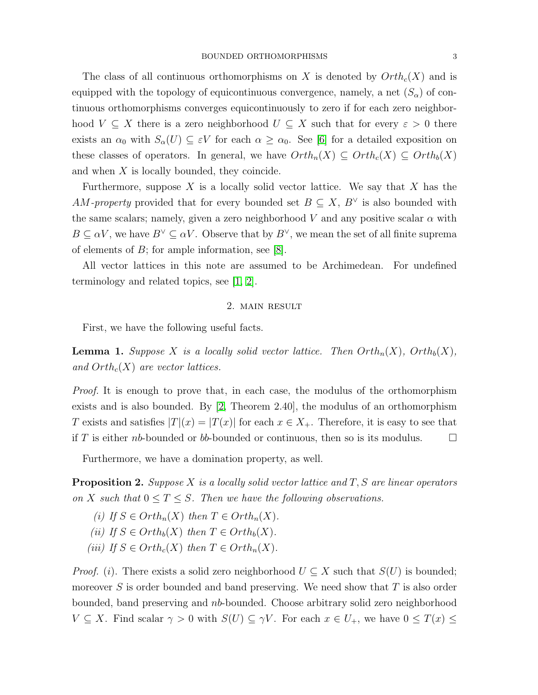The class of all continuous orthomorphisms on X is denoted by  $Orth<sub>c</sub>(X)$  and is equipped with the topology of equicontinuous convergence, namely, a net  $(S_{\alpha})$  of continuous orthomorphisms converges equicontinuously to zero if for each zero neighborhood  $V \subseteq X$  there is a zero neighborhood  $U \subseteq X$  such that for every  $\varepsilon > 0$  there exists an  $\alpha_0$  with  $S_\alpha(U) \subseteq \varepsilon V$  for each  $\alpha \geq \alpha_0$ . See [\[6\]](#page-8-2) for a detailed exposition on these classes of operators. In general, we have  $Orth_n(X) \subseteq Orth_c(X) \subseteq Orth_b(X)$ and when X is locally bounded, they coincide.

Furthermore, suppose X is a locally solid vector lattice. We say that X has the AM-property provided that for every bounded set  $B \subseteq X, B^{\vee}$  is also bounded with the same scalars; namely, given a zero neighborhood V and any positive scalar  $\alpha$  with  $B \subseteq \alpha V$ , we have  $B^{\vee} \subseteq \alpha V$ . Observe that by  $B^{\vee}$ , we mean the set of all finite suprema of elements of  $B$ ; for ample information, see [\[8\]](#page-8-1).

All vector lattices in this note are assumed to be Archimedean. For undefined terminology and related topics, see [\[1,](#page-7-1) [2\]](#page-7-0).

## 2. main result

First, we have the following useful facts.

<span id="page-2-0"></span>**Lemma 1.** Suppose X is a locally solid vector lattice. Then  $Orth_n(X)$ ,  $Orth_b(X)$ , and  $Orth<sub>c</sub>(X)$  are vector lattices.

*Proof.* It is enough to prove that, in each case, the modulus of the orthomorphism exists and is also bounded. By [\[2,](#page-7-0) Theorem 2.40], the modulus of an orthomorphism T exists and satisfies  $|T|(x) = |T(x)|$  for each  $x \in X_+$ . Therefore, it is easy to see that if T is either nb-bounded or bb-bounded or continuous, then so is its modulus.  $\square$ 

Furthermore, we have a domination property, as well.

**Proposition 2.** Suppose X is a locally solid vector lattice and  $T$ , S are linear operators on X such that  $0 \leq T \leq S$ . Then we have the following observations.

(i) If  $S \in Orth_n(X)$  then  $T \in Orth_n(X)$ . (ii) If  $S \in Orth_b(X)$  then  $T \in Orth_b(X)$ . (iii) If  $S \in Orth_c(X)$  then  $T \in Orth_n(X)$ .

*Proof.* (i). There exists a solid zero neighborhood  $U \subseteq X$  such that  $S(U)$  is bounded; moreover S is order bounded and band preserving. We need show that  $T$  is also order bounded, band preserving and nb-bounded. Choose arbitrary solid zero neighborhood  $V \subseteq X$ . Find scalar  $\gamma > 0$  with  $S(U) \subseteq \gamma V$ . For each  $x \in U_+$ , we have  $0 \leq T(x) \leq$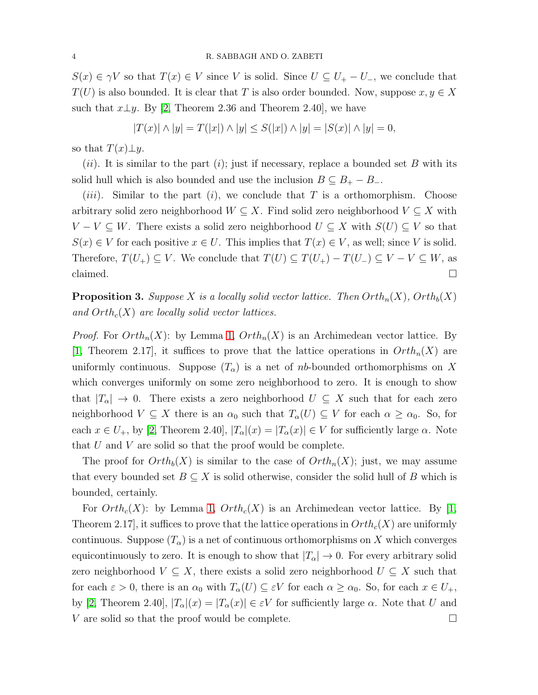$S(x) \in \gamma V$  so that  $T(x) \in V$  since V is solid. Since  $U \subseteq U_+ - U_-$ , we conclude that  $T(U)$  is also bounded. It is clear that T is also order bounded. Now, suppose  $x, y \in X$ such that  $x \perp y$ . By [\[2,](#page-7-0) Theorem 2.36 and Theorem 2.40], we have

$$
|T(x)| \wedge |y| = T(|x|) \wedge |y| \le S(|x|) \wedge |y| = |S(x)| \wedge |y| = 0,
$$

so that  $T(x) \perp y$ .

(ii). It is similar to the part (i); just if necessary, replace a bounded set B with its solid hull which is also bounded and use the inclusion  $B \subseteq B_+ - B_-$ .

(*iii*). Similar to the part (*i*), we conclude that T is a orthomorphism. Choose arbitrary solid zero neighborhood  $W \subseteq X$ . Find solid zero neighborhood  $V \subseteq X$  with  $V - V \subseteq W$ . There exists a solid zero neighborhood  $U \subseteq X$  with  $S(U) \subseteq V$  so that  $S(x) \in V$  for each positive  $x \in U$ . This implies that  $T(x) \in V$ , as well; since V is solid. Therefore,  $T(U_+) \subseteq V$ . We conclude that  $T(U) \subseteq T(U_+) - T(U_-) \subseteq V - V \subseteq W$ , as claimed.  $\square$ 

**Proposition 3.** Suppose X is a locally solid vector lattice. Then  $Orth_n(X)$ ,  $Orth_b(X)$ and  $Orth<sub>c</sub>(X)$  are locally solid vector lattices.

*Proof.* For  $Orth_n(X)$ : by Lemma [1,](#page-2-0)  $Orth_n(X)$  is an Archimedean vector lattice. By [\[1,](#page-7-1) Theorem 2.17], it suffices to prove that the lattice operations in  $Orth_n(X)$  are uniformly continuous. Suppose  $(T_{\alpha})$  is a net of nb-bounded orthomorphisms on X which converges uniformly on some zero neighborhood to zero. It is enough to show that  $|T_{\alpha}| \to 0$ . There exists a zero neighborhood  $U \subseteq X$  such that for each zero neighborhood  $V \subseteq X$  there is an  $\alpha_0$  such that  $T_\alpha(U) \subseteq V$  for each  $\alpha \geq \alpha_0$ . So, for each  $x \in U_+$ , by [\[2,](#page-7-0) Theorem 2.40],  $|T_\alpha(x)| = |T_\alpha(x)| \in V$  for sufficiently large  $\alpha$ . Note that  $U$  and  $V$  are solid so that the proof would be complete.

The proof for  $Orth_b(X)$  is similar to the case of  $Orth_a(X)$ ; just, we may assume that every bounded set  $B \subseteq X$  is solid otherwise, consider the solid hull of B which is bounded, certainly.

For  $Orth_c(X)$ : by Lemma [1,](#page-2-0)  $Orth_c(X)$  is an Archimedean vector lattice. By [\[1,](#page-7-1) Theorem 2.17, it suffices to prove that the lattice operations in  $Orth_c(X)$  are uniformly continuous. Suppose  $(T_{\alpha})$  is a net of continuous orthomorphisms on X which converges equicontinuously to zero. It is enough to show that  $|T_{\alpha}| \to 0$ . For every arbitrary solid zero neighborhood  $V \subseteq X$ , there exists a solid zero neighborhood  $U \subseteq X$  such that for each  $\varepsilon > 0$ , there is an  $\alpha_0$  with  $T_\alpha(U) \subseteq \varepsilon V$  for each  $\alpha \geq \alpha_0$ . So, for each  $x \in U_+$ , by [\[2,](#page-7-0) Theorem 2.40],  $|T_{\alpha}|(x) = |T_{\alpha}(x)| \in \varepsilon V$  for sufficiently large  $\alpha$ . Note that U and V are solid so that the proof would be complete.  $\Box$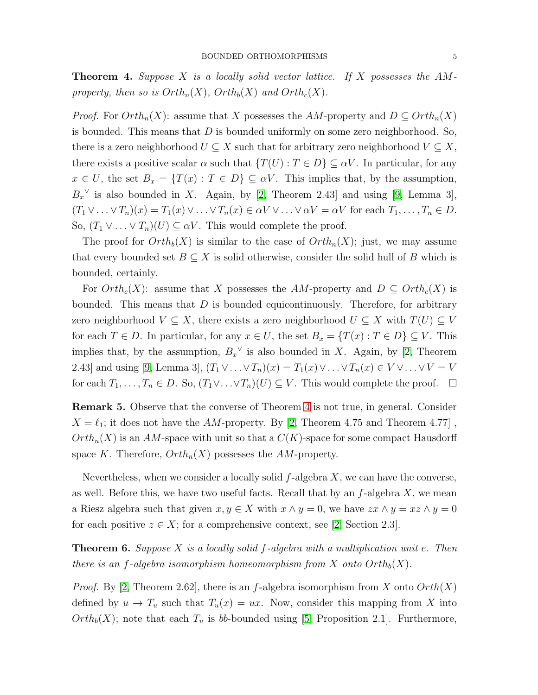<span id="page-4-0"></span>**Theorem 4.** Suppose X is a locally solid vector lattice. If X possesses the  $AM$ property, then so is  $Orth_n(X)$ ,  $Orth_b(X)$  and  $Orth_c(X)$ .

*Proof.* For  $Orth_n(X)$ : assume that X possesses the AM-property and  $D \subseteq Orth_n(X)$ is bounded. This means that  $D$  is bounded uniformly on some zero neighborhood. So, there is a zero neighborhood  $U \subseteq X$  such that for arbitrary zero neighborhood  $V \subseteq X$ , there exists a positive scalar  $\alpha$  such that  $\{T(U) : T \in D\} \subseteq \alpha V$ . In particular, for any  $x \in U$ , the set  $B_x = \{T(x) : T \in D\} \subseteq \alpha V$ . This implies that, by the assumption,  $B_x^{\vee}$  is also bounded in X. Again, by [\[2,](#page-7-0) Theorem 2.43] and using [\[9,](#page-8-3) Lemma 3],  $(T_1 \vee \ldots \vee T_n)(x) = T_1(x) \vee \ldots \vee T_n(x) \in \alpha V \vee \ldots \vee \alpha V = \alpha V$  for each  $T_1, \ldots, T_n \in D$ . So,  $(T_1 \vee \ldots \vee T_n)(U) \subseteq \alpha V$ . This would complete the proof.

The proof for  $Orth_b(X)$  is similar to the case of  $Orth_a(X)$ ; just, we may assume that every bounded set  $B \subseteq X$  is solid otherwise, consider the solid hull of B which is bounded, certainly.

For  $Orth_c(X)$ : assume that X possesses the AM-property and  $D \subseteq Orth_c(X)$  is bounded. This means that  $D$  is bounded equicontinuously. Therefore, for arbitrary zero neighborhood  $V \subseteq X$ , there exists a zero neighborhood  $U \subseteq X$  with  $T(U) \subseteq V$ for each  $T \in D$ . In particular, for any  $x \in U$ , the set  $B_x = \{T(x) : T \in D\} \subseteq V$ . This implies that, by the assumption,  $B_x^{\vee}$  is also bounded in X. Again, by [\[2,](#page-7-0) Theorem 2.43] and using [\[9,](#page-8-3) Lemma 3],  $(T_1 \vee \ldots \vee T_n)(x) = T_1(x) \vee \ldots \vee T_n(x) \in V \vee \ldots \vee V = V$ for each  $T_1, \ldots, T_n \in D$ . So,  $(T_1 \vee \ldots \vee T_n)(U) \subseteq V$ . This would complete the proof.  $\Box$ 

Remark 5. Observe that the converse of Theorem [4](#page-4-0) is not true, in general. Consider  $X = \ell_1$ ; it does not have the AM-property. By [\[2,](#page-7-0) Theorem 4.75 and Theorem 4.77],  $Orth_n(X)$  is an AM-space with unit so that a  $C(K)$ -space for some compact Hausdorff space K. Therefore,  $Orth_n(X)$  possesses the AM-property.

Nevertheless, when we consider a locally solid  $f$ -algebra  $X$ , we can have the converse, as well. Before this, we have two useful facts. Recall that by an  $f$ -algebra  $X$ , we mean a Riesz algebra such that given  $x, y \in X$  with  $x \wedge y = 0$ , we have  $zx \wedge y = xz \wedge y = 0$ for each positive  $z \in X$ ; for a comprehensive context, see [\[2,](#page-7-0) Section 2.3].

<span id="page-4-1"></span>**Theorem 6.** Suppose X is a locally solid f-algebra with a multiplication unit e. Then there is an f-algebra isomorphism homeomorphism from X onto  $Orth_b(X)$ .

*Proof.* By [\[2,](#page-7-0) Theorem 2.62], there is an f-algebra isomorphism from X onto  $Orth(X)$ defined by  $u \to T_u$  such that  $T_u(x) = ux$ . Now, consider this mapping from X into  $Orth_b(X);$  note that each  $T_u$  is b-bounded using [\[5,](#page-8-4) Proposition 2.1]. Furthermore,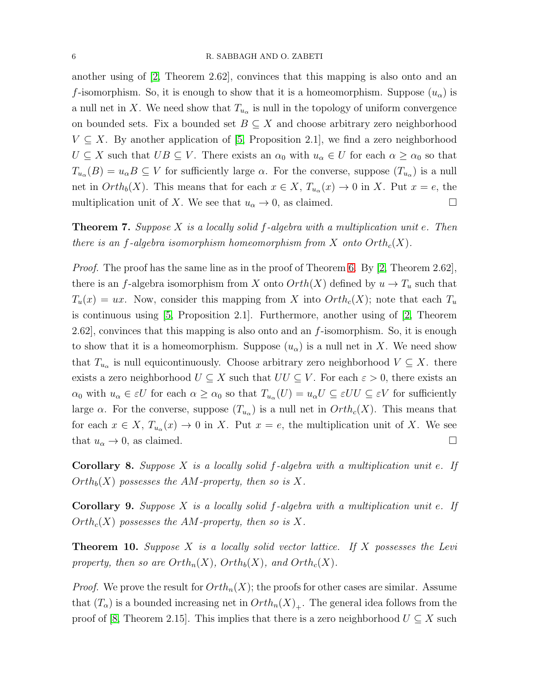another using of [\[2,](#page-7-0) Theorem 2.62], convinces that this mapping is also onto and an f-isomorphism. So, it is enough to show that it is a homeomorphism. Suppose  $(u_{\alpha})$  is a null net in X. We need show that  $T_{u_{\alpha}}$  is null in the topology of uniform convergence on bounded sets. Fix a bounded set  $B \subseteq X$  and choose arbitrary zero neighborhood  $V \subseteq X$ . By another application of [\[5,](#page-8-4) Proposition 2.1], we find a zero neighborhood  $U \subseteq X$  such that  $UB \subseteq V$ . There exists an  $\alpha_0$  with  $u_\alpha \in U$  for each  $\alpha \geq \alpha_0$  so that  $T_{u_\alpha}(B) = u_\alpha B \subseteq V$  for sufficiently large  $\alpha$ . For the converse, suppose  $(T_{u_\alpha})$  is a null net in  $Orth_b(X)$ . This means that for each  $x \in X$ ,  $T_{u_\alpha}(x) \to 0$  in X. Put  $x = e$ , the multiplication unit of X. We see that  $u_{\alpha} \to 0$ , as claimed.

**Theorem 7.** Suppose X is a locally solid f-algebra with a multiplication unit e. Then there is an f-algebra isomorphism homeomorphism from X onto  $Orth<sub>c</sub>(X)$ .

*Proof.* The proof has the same line as in the proof of Theorem [6.](#page-4-1) By [\[2,](#page-7-0) Theorem 2.62], there is an f-algebra isomorphism from X onto  $Orth(X)$  defined by  $u \to T_u$  such that  $T_u(x) = ux$ . Now, consider this mapping from X into  $Orth_c(X)$ ; note that each  $T_u$ is continuous using [\[5,](#page-8-4) Proposition 2.1]. Furthermore, another using of [\[2,](#page-7-0) Theorem 2.62, convinces that this mapping is also onto and an  $f$ -isomorphism. So, it is enough to show that it is a homeomorphism. Suppose  $(u_{\alpha})$  is a null net in X. We need show that  $T_{u_{\alpha}}$  is null equicontinuously. Choose arbitrary zero neighborhood  $V \subseteq X$ . there exists a zero neighborhood  $U \subseteq X$  such that  $UU \subseteq V$ . For each  $\varepsilon > 0$ , there exists an  $\alpha_0$  with  $u_\alpha \in \varepsilon U$  for each  $\alpha \geq \alpha_0$  so that  $T_{u_\alpha}(U) = u_\alpha U \subseteq \varepsilon U U \subseteq \varepsilon V$  for sufficiently large  $\alpha$ . For the converse, suppose  $(T_{u_{\alpha}})$  is a null net in  $Orth_{c}(X)$ . This means that for each  $x \in X$ ,  $T_{u_{\alpha}}(x) \to 0$  in X. Put  $x = e$ , the multiplication unit of X. We see that  $u_{\alpha} \to 0$ , as claimed.

**Corollary 8.** Suppose X is a locally solid  $f$ -algebra with a multiplication unit e. If  $Orth_{b}(X)$  possesses the AM-property, then so is X.

**Corollary 9.** Suppose X is a locally solid  $f$ -algebra with a multiplication unit e. If  $Orth_c(X)$  possesses the AM-property, then so is X.

<span id="page-5-0"></span>**Theorem 10.** Suppose X is a locally solid vector lattice. If X possesses the Levi property, then so are  $Orth_n(X)$ ,  $Orth_b(X)$ , and  $Orth_c(X)$ .

*Proof.* We prove the result for  $Orth_n(X)$ ; the proofs for other cases are similar. Assume that  $(T_\alpha)$  is a bounded increasing net in  $Orth_n(X)_+$ . The general idea follows from the proof of [\[8,](#page-8-1) Theorem 2.15]. This implies that there is a zero neighborhood  $U \subseteq X$  such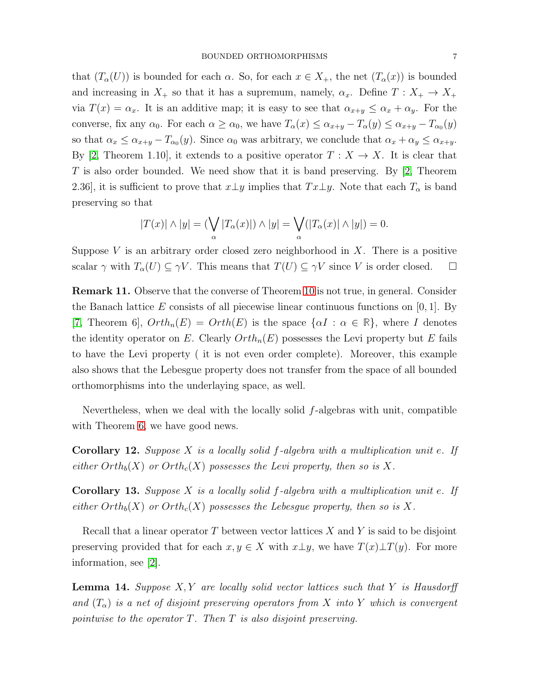that  $(T_\alpha(U))$  is bounded for each  $\alpha$ . So, for each  $x \in X_+$ , the net  $(T_\alpha(x))$  is bounded and increasing in  $X_+$  so that it has a supremum, namely,  $\alpha_x$ . Define  $T: X_+ \to X_+$ via  $T(x) = \alpha_x$ . It is an additive map; it is easy to see that  $\alpha_{x+y} \leq \alpha_x + \alpha_y$ . For the converse, fix any  $\alpha_0$ . For each  $\alpha \ge \alpha_0$ , we have  $T_\alpha(x) \le \alpha_{x+y} - T_\alpha(y) \le \alpha_{x+y} - T_{\alpha_0}(y)$ so that  $\alpha_x \leq \alpha_{x+y} - T_{\alpha_0}(y)$ . Since  $\alpha_0$  was arbitrary, we conclude that  $\alpha_x + \alpha_y \leq \alpha_{x+y}$ . By [\[2,](#page-7-0) Theorem 1.10], it extends to a positive operator  $T : X \to X$ . It is clear that T is also order bounded. We need show that it is band preserving. By [\[2,](#page-7-0) Theorem 2.36], it is sufficient to prove that  $x \perp y$  implies that  $Tx \perp y$ . Note that each  $T_{\alpha}$  is band preserving so that

$$
|T(x)| \wedge |y| = \left(\bigvee_{\alpha} |T_{\alpha}(x)|\right) \wedge |y| = \bigvee_{\alpha} (|T_{\alpha}(x)| \wedge |y|) = 0.
$$

Suppose V is an arbitrary order closed zero neighborhood in  $X$ . There is a positive scalar  $\gamma$  with  $T_{\alpha}(U) \subseteq \gamma V$ . This means that  $T(U) \subseteq \gamma V$  since V is order closed.  $\Box$ 

Remark 11. Observe that the converse of Theorem [10](#page-5-0) is not true, in general. Consider the Banach lattice E consists of all piecewise linear continuous functions on  $[0, 1]$ . By [\[7,](#page-8-5) Theorem 6],  $Orth_n(E) = Orth(E)$  is the space  $\{\alpha I : \alpha \in \mathbb{R}\}\)$ , where I denotes the identity operator on E. Clearly  $Orth_n(E)$  possesses the Levi property but E fails to have the Levi property ( it is not even order complete). Moreover, this example also shows that the Lebesgue property does not transfer from the space of all bounded orthomorphisms into the underlaying space, as well.

Nevertheless, when we deal with the locally solid f-algebras with unit, compatible with Theorem [6,](#page-4-1) we have good news.

**Corollary 12.** Suppose X is a locally solid f-algebra with a multiplication unit e. If either  $Orth_b(X)$  or  $Orth_c(X)$  possesses the Levi property, then so is X.

**Corollary 13.** Suppose X is a locally solid f-algebra with a multiplication unit e. If either  $Orth_b(X)$  or  $Orth_c(X)$  possesses the Lebesgue property, then so is X.

Recall that a linear operator  $T$  between vector lattices  $X$  and  $Y$  is said to be disjoint preserving provided that for each  $x, y \in X$  with  $x \perp y$ , we have  $T(x) \perp T(y)$ . For more information, see [\[2\]](#page-7-0).

**Lemma 14.** Suppose  $X, Y$  are locally solid vector lattices such that Y is Hausdorff and  $(T_{\alpha})$  is a net of disjoint preserving operators from X into Y which is convergent pointwise to the operator  $T$ . Then  $T$  is also disjoint preserving.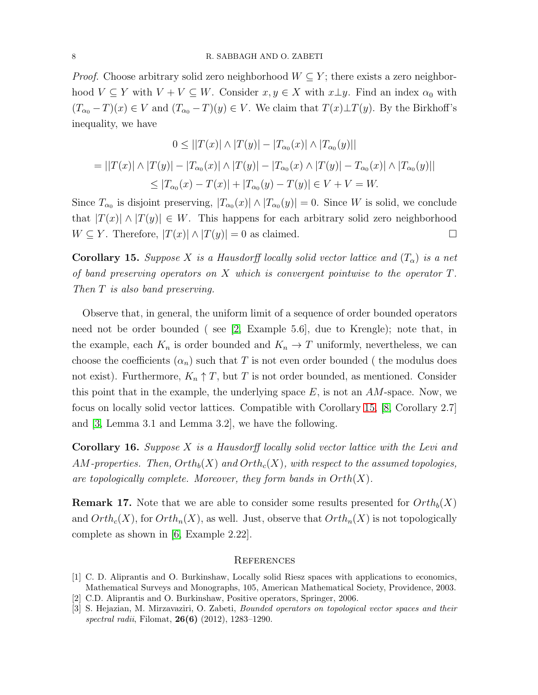*Proof.* Choose arbitrary solid zero neighborhood  $W \subseteq Y$ ; there exists a zero neighborhood  $V \subseteq Y$  with  $V + V \subseteq W$ . Consider  $x, y \in X$  with  $x \perp y$ . Find an index  $\alpha_0$  with  $(T_{\alpha_0}-T)(x) \in V$  and  $(T_{\alpha_0}-T)(y) \in V$ . We claim that  $T(x)\perp T(y)$ . By the Birkhoff's inequality, we have

$$
0 \le ||T(x)| \wedge |T(y)| - |T_{\alpha_0}(x)| \wedge |T_{\alpha_0}(y)||
$$
  
=  $||T(x)| \wedge |T(y)| - |T_{\alpha_0}(x)| \wedge |T(y)| - |T_{\alpha_0}(x) \wedge |T(y)| - T_{\alpha_0}(x)| \wedge |T_{\alpha_0}(y)||$   
 $\le |T_{\alpha_0}(x) - T(x)| + |T_{\alpha_0}(y) - T(y)| \in V + V = W.$ 

Since  $T_{\alpha_0}$  is disjoint preserving,  $|T_{\alpha_0}(x)| \wedge |T_{\alpha_0}(y)| = 0$ . Since W is solid, we conclude that  $|T(x)| \wedge |T(y)| \in W$ . This happens for each arbitrary solid zero neighborhood  $W \subseteq Y$ . Therefore,  $|T(x)| \wedge |T(y)| = 0$  as claimed.

<span id="page-7-2"></span>**Corollary 15.** Suppose X is a Hausdorff locally solid vector lattice and  $(T_{\alpha})$  is a net of band preserving operators on X which is convergent pointwise to the operator T. Then T is also band preserving.

Observe that, in general, the uniform limit of a sequence of order bounded operators need not be order bounded ( see [\[2,](#page-7-0) Example 5.6], due to Krengle); note that, in the example, each  $K_n$  is order bounded and  $K_n \to T$  uniformly, nevertheless, we can choose the coefficients  $(\alpha_n)$  such that T is not even order bounded ( the modulus does not exist). Furthermore,  $K_n \uparrow T$ , but T is not order bounded, as mentioned. Consider this point that in the example, the underlying space  $E$ , is not an  $AM$ -space. Now, we focus on locally solid vector lattices. Compatible with Corollary [15,](#page-7-2) [\[8,](#page-8-1) Corollary 2.7] and [\[3,](#page-7-3) Lemma 3.1 and Lemma 3.2], we have the following.

**Corollary 16.** Suppose  $X$  is a Hausdorff locally solid vector lattice with the Levi and AM-properties. Then,  $Orth<sub>b</sub>(X)$  and  $Orth<sub>c</sub>(X)$ , with respect to the assumed topologies, are topologically complete. Moreover, they form bands in  $Orth(X)$ .

**Remark 17.** Note that we are able to consider some results presented for  $Orth<sub>b</sub>(X)$ and  $Orth_c(X)$ , for  $Orth_n(X)$ , as well. Just, observe that  $Orth_n(X)$  is not topologically complete as shown in [\[6,](#page-8-2) Example 2.22].

### **REFERENCES**

- <span id="page-7-1"></span>[1] C. D. Aliprantis and O. Burkinshaw, Locally solid Riesz spaces with applications to economics, Mathematical Surveys and Monographs, 105, American Mathematical Society, Providence, 2003.
- <span id="page-7-3"></span><span id="page-7-0"></span>[2] C.D. Aliprantis and O. Burkinshaw, Positive operators, Springer, 2006.
- [3] S. Hejazian, M. Mirzavaziri, O. Zabeti, Bounded operators on topological vector spaces and their spectral radii, Filomat, **26(6)** (2012), 1283-1290.